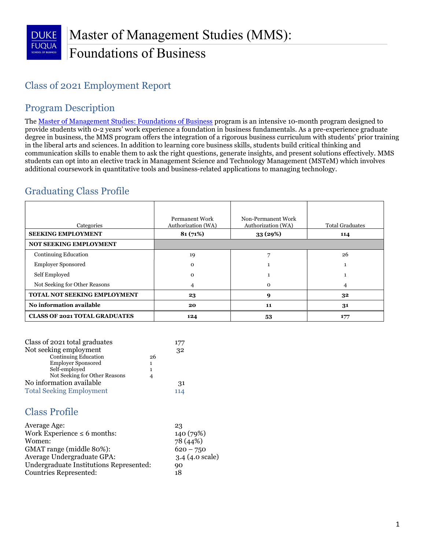# Class of 2021 Employment Report

# Program Description

The <u>Master of Management Studies: Foundations of Business</u> program is an intensive 10-month program designed to provide students with 0-2 years' work experience a foundation in business fundamentals. As a pre-experience graduate degree in business, the MMS program offers the integration of a rigorous business curriculum with students' prior training in the liberal arts and sciences. In addition to learning core business skills, students build critical thinking and communication skills to enable them to ask the right questions, generate insights, and present solutions effectively. MMS students can opt into an elective track in Management Science and Technology Management (MSTeM) which involves additional coursework in quantitative tools and business-related applications to managing technology.

# Graduating Class Profile

| Categories                           | <b>Permanent Work</b><br>Authorization (WA) | Non-Permanent Work<br>Authorization (WA) | <b>Total Graduates</b> |
|--------------------------------------|---------------------------------------------|------------------------------------------|------------------------|
| <b>SEEKING EMPLOYMENT</b>            | 81(71%)                                     | 33(29%)                                  | 114                    |
| NOT SEEKING EMPLOYMENT               |                                             |                                          |                        |
| <b>Continuing Education</b>          | 19                                          | ь                                        | 26                     |
| <b>Employer Sponsored</b>            | $\Omega$                                    |                                          |                        |
| Self Employed                        | $\Omega$                                    |                                          |                        |
| Not Seeking for Other Reasons        | 4                                           | $\Omega$                                 | 4                      |
| <b>TOTAL NOT SEEKING EMPLOYMENT</b>  | 23                                          | 9                                        | 32                     |
| No information available             | 20                                          | 11                                       | 31                     |
| <b>CLASS OF 2021 TOTAL GRADUATES</b> | 124                                         | 53                                       | 177                    |

| Class of 2021 total graduates   |    |  |  |  |  |  |
|---------------------------------|----|--|--|--|--|--|
| Not seeking employment          |    |  |  |  |  |  |
| <b>Continuing Education</b>     | 26 |  |  |  |  |  |
| <b>Employer Sponsored</b>       | 1  |  |  |  |  |  |
| Self-employed<br>1              |    |  |  |  |  |  |
| Not Seeking for Other Reasons   | 4  |  |  |  |  |  |
| No information available        |    |  |  |  |  |  |
| <b>Total Seeking Employment</b> |    |  |  |  |  |  |

## Class Profile

| Average Age:                            | 23                       |
|-----------------------------------------|--------------------------|
| Work Experience $\leq 6$ months:        | 140 (79%)                |
| Women:                                  | 78 (44%)                 |
| GMAT range (middle 80%):                | $620 - 750$              |
| Average Undergraduate GPA:              | $3.4(4.0 \text{ scale})$ |
| Undergraduate Institutions Represented: | 90                       |
| Countries Represented:                  | 18                       |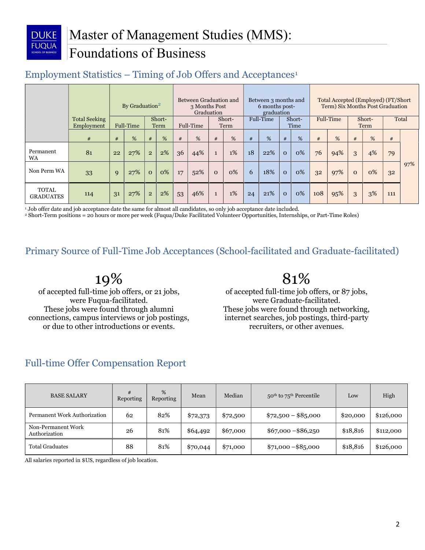

# Employment Statistics  $-$  Timing of Job Offers and Acceptances<sup>1</sup>

|                                  |                                    |    | By Graduation <sup>2</sup> |                |                | Between Graduation and<br>3 Months Post<br>Graduation |     | Between 3 months and<br>6 months post-<br>graduation |       |    |           | Total Accepted (Employed) (FT/Short<br>Term) Six Months Post Graduation |                |     |       |          |    |     |     |
|----------------------------------|------------------------------------|----|----------------------------|----------------|----------------|-------------------------------------------------------|-----|------------------------------------------------------|-------|----|-----------|-------------------------------------------------------------------------|----------------|-----|-------|----------|----|-----|-----|
|                                  | <b>Total Seeking</b><br>Employment |    | Full-Time                  |                | Short-<br>Term | Short-<br>Full-Time<br>Term                           |     | Full-Time<br>Short-<br>Time                          |       |    | Full-Time |                                                                         | Short-<br>Term |     | Total |          |    |     |     |
|                                  | #                                  | #  | %                          | #              | %              | #                                                     | %   | #                                                    | %     | #  | %         | #                                                                       | %              | #   | %     | #        | %  | #   |     |
| Permanent<br><b>WA</b>           | 81                                 | 22 | 27%                        | $\overline{2}$ | 2%             | 36                                                    | 44% | $\mathbf{1}$                                         | $1\%$ | 18 | 22%       | $\mathbf{O}$                                                            | 0%             | 76  | 94%   | 3        | 4% | 79  |     |
| Non Perm WA                      | 33                                 | 9  | 27%                        | $\mathbf{O}$   | 0%             | 17                                                    | 52% | $\Omega$                                             | $0\%$ | 6  | 18%       | $\Omega$                                                                | 0%             | 32  | 97%   | $\Omega$ | 0% | 32  | 97% |
| <b>TOTAL</b><br><b>GRADUATES</b> | 114                                | 31 | 27%                        | $\overline{2}$ | 2%             | 53                                                    | 46% | $\mathbf{1}$                                         | $1\%$ | 24 | 21%       | $\mathbf{O}$                                                            | 0%             | 108 | 95%   | 3        | 3% | 111 |     |

1 Job offer date and job acceptance date the same for almost all candidates, so only job acceptance date included.

2 Short-Term positions = 20 hours or more per week (Fuqua/Duke Facilitated Volunteer Opportunities, Internships, or Part-Time Roles)

#### Primary Source of Full-Time Job Acceptances (School-facilitated and Graduate-facilitated)

19%

of accepted full-time job offers, or 21 jobs, were Fuqua-facilitated. These jobs were found through alumni connections, campus interviews or job postings, or due to other introductions or events.

# 81%

of accepted full-time job offers, or 87 jobs, were Graduate-facilitated. These jobs were found through networking, internet searches, job postings, third-party recruiters, or other avenues.

#### Full-time Offer Compensation Report

| <b>BASE SALARY</b>                  | #<br>Reporting | %<br>Reporting | Mean     | Median   | 50 <sup>th</sup> to 75 <sup>th</sup> Percentile | Low      | High      |
|-------------------------------------|----------------|----------------|----------|----------|-------------------------------------------------|----------|-----------|
| Permanent Work Authorization        | 62             | 82%            | \$72,373 | \$72,500 | $$72,500 - $85,000$                             | \$20,000 | \$126,000 |
| Non-Permanent Work<br>Authorization | 26             | 81%            | \$64,492 | \$67,000 | $$67,000 - $86,250$                             | \$18,816 | \$112,000 |
| <b>Total Graduates</b>              | 88             | 81%            | \$70,044 | \$71,000 | $$71,000 - $85,000$                             | \$18,816 | \$126,000 |

All salaries reported in \$US, regardless of job location.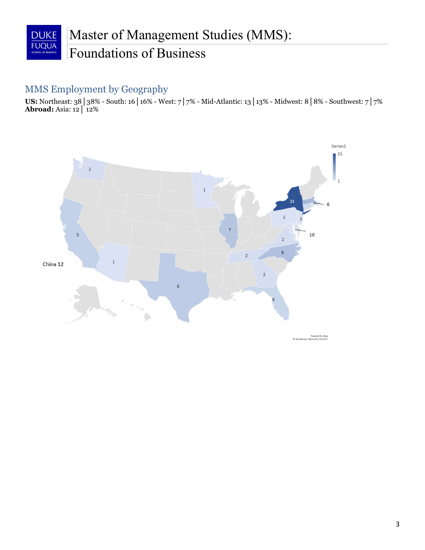

#### MMS Employment by Geography

 US: Northeast: 38│38% - South: 16│16% - West: 7│7% - Mid-Atlantic: 13│13% - Midwest: 8│8% - Southwest: 7│7% Abroad: Asia: 12│ 12%



Powered by Bing<br>© GeoNames, Microsoft, TomTom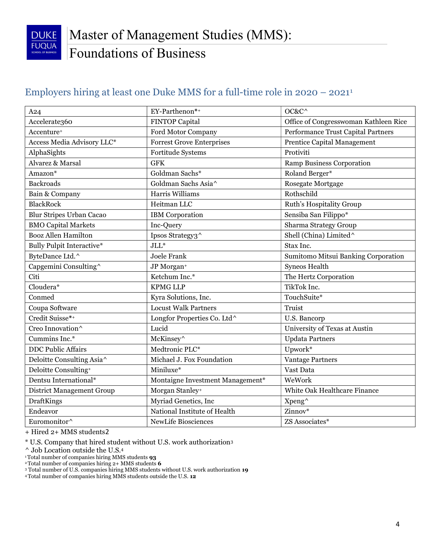

### Employers hiring at least one Duke MMS for a full-time role in 2020 – 20211

| A24                              | EY-Parthenon*+                   | OC&C^                                 |
|----------------------------------|----------------------------------|---------------------------------------|
| Accelerate360                    | <b>FINTOP Capital</b>            | Office of Congresswoman Kathleen Rice |
| Accenture <sup>+</sup>           | Ford Motor Company               | Performance Trust Capital Partners    |
| Access Media Advisory LLC*       | <b>Forrest Grove Enterprises</b> | Prentice Capital Management           |
| AlphaSights                      | Fortitude Systems                | Protiviti                             |
| Alvarez & Marsal                 | <b>GFK</b>                       | <b>Ramp Business Corporation</b>      |
| Amazon <sup>*</sup>              | Goldman Sachs*                   | Roland Berger*                        |
| <b>Backroads</b>                 | Goldman Sachs Asia^              | Rosegate Mortgage                     |
| Bain & Company                   | Harris Williams                  | Rothschild                            |
| <b>BlackRock</b>                 | Heitman LLC                      | Ruth's Hospitality Group              |
| <b>Blur Stripes Urban Cacao</b>  | <b>IBM</b> Corporation           | Sensiba San Filippo*                  |
| <b>BMO Capital Markets</b>       | Inc-Query                        | <b>Sharma Strategy Group</b>          |
| <b>Booz Allen Hamilton</b>       | Ipsos Strategy3^                 | Shell (China) Limited <sup>^</sup>    |
| <b>Bully Pulpit Interactive*</b> | $JLL^*$                          | Stax Inc.                             |
| ByteDance Ltd.^                  | <b>Joele Frank</b>               | Sumitomo Mitsui Banking Corporation   |
| Capgemini Consulting^            | JP Morgan <sup>+</sup>           | Syneos Health                         |
| Citi                             | Ketchum Inc.*                    | The Hertz Corporation                 |
| Cloudera*                        | <b>KPMG LLP</b>                  | TikTok Inc.                           |
| Conmed                           | Kyra Solutions, Inc.             | TouchSuite*                           |
| Coupa Software                   | <b>Locust Walk Partners</b>      | Truist                                |
| Credit Suisse*+                  | Longfor Properties Co. Ltd^      | U.S. Bancorp                          |
| Creo Innovation^                 | Lucid                            | University of Texas at Austin         |
| Cummins Inc.*                    | McKinsey^                        | <b>Updata Partners</b>                |
| <b>DDC Public Affairs</b>        | Medtronic PLC*                   | Upwork*                               |
| Deloitte Consulting Asia^        | Michael J. Fox Foundation        | <b>Vantage Partners</b>               |
| Deloitte Consulting+             | Miniluxe*                        | Vast Data                             |
| Dentsu International*            | Montaigne Investment Management* | WeWork                                |
| <b>District Management Group</b> | Morgan Stanley+                  | White Oak Healthcare Finance          |
| <b>DraftKings</b>                | Myriad Genetics, Inc             | Xpeng^                                |
| Endeavor                         | National Institute of Health     | Zinnov*                               |
| Euromonitor^                     | NewLife Biosciences              | ZS Associates*                        |

+ Hired 2+ MMS students2

\* U.S. Company that hired student without U.S. work authorization3

^ Job Location outside the U.S.4

<sup>1</sup>Total number of companies hiring MMS students **93** 

 $2$ <sup>2</sup> Total number of companies hiring  $2+$  MMS students 6

3 Total number of U.S. companies hiring MMS students without U.S. work authorization 19

4 Total number of companies hiring MMS students outside the U.S. 12